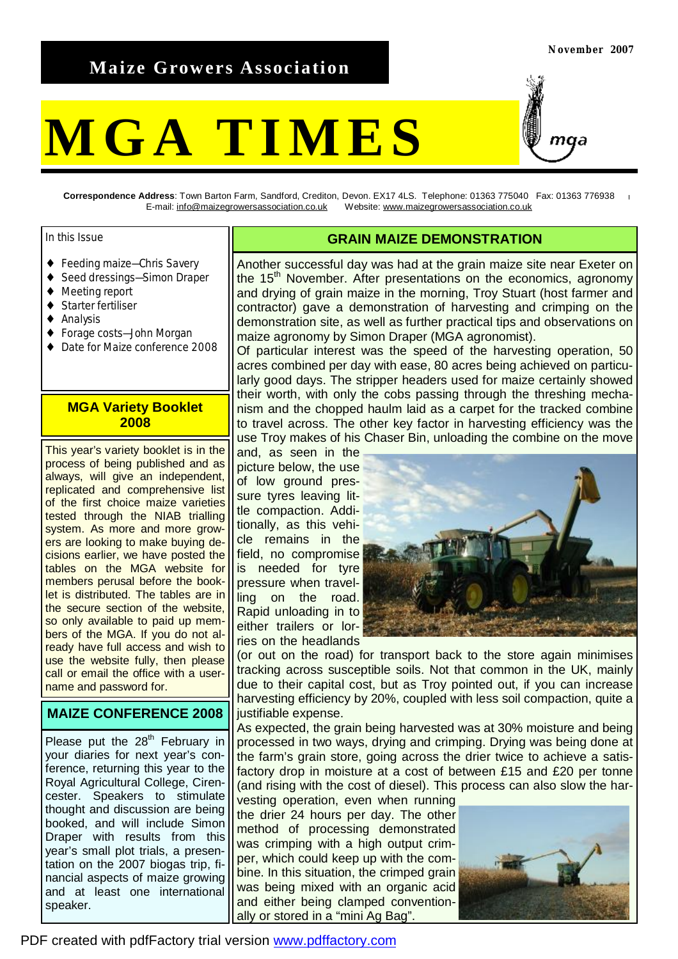# **Maize Growers Association**

# **MGA TIMES**

**Correspondence Address**: Town Barton Farm, Sandford, Crediton, Devon. EX17 4LS. Telephone: 01363 775040 Fax: 01363 776938 E-mail: [info@maizegrowersassociation.co.uk](mailto:info@maizegrowersassociation.co.uk) Website: [www.maizegrowersassociation.co.uk](http://www.maizegrowersassociation.co.uk)

#### In this Issue

- ◆ Feeding maize–Chris Savery
- ◆ Seed dressings-Simon Draper
- ♦ Meeting report
- Starter fertiliser
- **Analysis**
- Forage costs-John Morgan
- Date for Maize conference 2008

#### **MGA Variety Booklet 2008**

This year's variety booklet is in the process of being published and as always, will give an independent, replicated and comprehensive list of the first choice maize varieties tested through the NIAB trialling system. As more and more growers are looking to make buying decisions earlier, we have posted the tables on the MGA website for members perusal before the booklet is distributed. The tables are in the secure section of the website, so only available to paid up members of the MGA. If you do not already have full access and wish to use the website fully, then please call or email the office with a username and password for.

#### **MAIZE CONFERENCE 2008**

Please put the  $28<sup>th</sup>$  February in your diaries for next year's conference, returning this year to the Royal Agricultural College, Cirencester. Speakers to stimulate thought and discussion are being booked, and will include Simon Draper with results from this year's small plot trials, a presentation on the 2007 biogas trip, financial aspects of maize growing and at least one international speaker.

#### **GRAIN MAIZE DEMONSTRATION**

Another successful day was had at the grain maize site near Exeter on the 15<sup>th</sup> November. After presentations on the economics, agronomy and drying of grain maize in the morning, Troy Stuart (host farmer and contractor) gave a demonstration of harvesting and crimping on the demonstration site, as well as further practical tips and observations on maize agronomy by Simon Draper (MGA agronomist).

Of particular interest was the speed of the harvesting operation, 50 acres combined per day with ease, 80 acres being achieved on particularly good days. The stripper headers used for maize certainly showed their worth, with only the cobs passing through the threshing mechanism and the chopped haulm laid as a carpet for the tracked combine to travel across. The other key factor in harvesting efficiency was the use Troy makes of his Chaser Bin, unloading the combine on the move

and, as seen in the picture below, the use of low ground pressure tyres leaving little compaction. Additionally, as this vehicle remains in the field, no compromise is needed for tyre pressure when travelling on the road. Rapid unloading in to either trailers or lorries on the headlands



(or out on the road) for transport back to the store again minimises tracking across susceptible soils. Not that common in the UK, mainly due to their capital cost, but as Troy pointed out, if you can increase harvesting efficiency by 20%, coupled with less soil compaction, quite a justifiable expense.

As expected, the grain being harvested was at 30% moisture and being processed in two ways, drying and crimping. Drying was being done at the farm's grain store, going across the drier twice to achieve a satisfactory drop in moisture at a cost of between £15 and £20 per tonne (and rising with the cost of diesel). This process can also slow the har-

vesting operation, even when running the drier 24 hours per day. The other method of processing demonstrated was crimping with a high output crimper, which could keep up with the combine. In this situation, the crimped grain was being mixed with an organic acid and either being clamped conventionally or stored in a "mini Ag Bag".

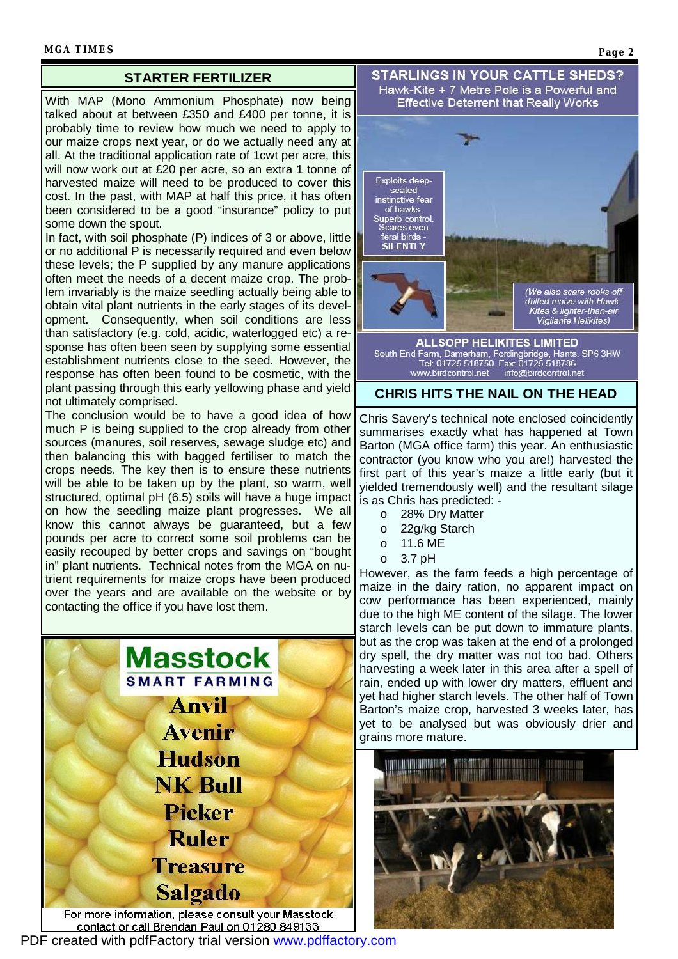#### **STARTER FERTILIZER**

With MAP (Mono Ammonium Phosphate) now being talked about at between £350 and £400 per tonne, it is probably time to review how much we need to apply to our maize crops next year, or do we actually need any at all. At the traditional application rate of 1cwt per acre, this will now work out at £20 per acre, so an extra 1 tonne of harvested maize will need to be produced to cover this cost. In the past, with MAP at half this price, it has often been considered to be a good "insurance" policy to put some down the spout.

In fact, with soil phosphate (P) indices of 3 or above, little or no additional P is necessarily required and even below these levels; the P supplied by any manure applications often meet the needs of a decent maize crop. The problem invariably is the maize seedling actually being able to obtain vital plant nutrients in the early stages of its development. Consequently, when soil conditions are less than satisfactory (e.g. cold, acidic, waterlogged etc) a response has often been seen by supplying some essential establishment nutrients close to the seed. However, the response has often been found to be cosmetic, with the plant passing through this early yellowing phase and yield not ultimately comprised.

The conclusion would be to have a good idea of how much P is being supplied to the crop already from other sources (manures, soil reserves, sewage sludge etc) and then balancing this with bagged fertiliser to match the crops needs. The key then is to ensure these nutrients will be able to be taken up by the plant, so warm, well structured, optimal pH (6.5) soils will have a huge impact on how the seedling maize plant progresses. We all know this cannot always be guaranteed, but a few pounds per acre to correct some soil problems can be easily recouped by better crops and savings on "bought in" plant nutrients. Technical notes from the MGA on nutrient requirements for maize crops have been produced over the years and are available on the website or by contacting the office if you have lost them.



PDF created with pdfFactory trial version [www.pdffactory.com](http://www.pdffactory.com)

#### **STARLINGS IN YOUR CATTLE SHEDS?** Hawk-Kite + 7 Metre Pole is a Powerful and **Effective Deterrent that Really Works**



www.birdcontrol.net info@birdcontrol.net

#### **CHRIS HITS THE NAIL ON THE HEAD**

Chris Savery's technical note enclosed coincidently summarises exactly what has happened at Town Barton (MGA office farm) this year. An enthusiastic contractor (you know who you are!) harvested the first part of this year's maize a little early (but it yielded tremendously well) and the resultant silage is as Chris has predicted: -

- o 28% Dry Matter
- o 22g/kg Starch
- o 11.6 ME
- o 3.7 pH

However, as the farm feeds a high percentage of maize in the dairy ration, no apparent impact on cow performance has been experienced, mainly due to the high ME content of the silage. The lower starch levels can be put down to immature plants, but as the crop was taken at the end of a prolonged dry spell, the dry matter was not too bad. Others harvesting a week later in this area after a spell of rain, ended up with lower dry matters, effluent and yet had higher starch levels. The other half of Town Barton's maize crop, harvested 3 weeks later, has yet to be analysed but was obviously drier and grains more mature.